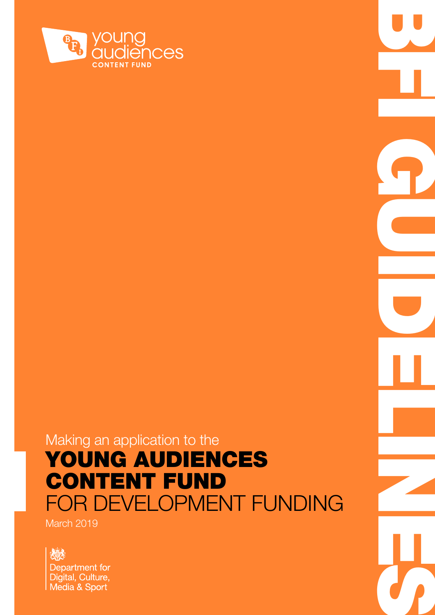

### Making an application to the YOUNG AUDIENCES CONTENT FUND FOR DEVELOPMENT FUNDING

**COMPANY COMPANY** 

March 2019

炒 Department for Digital, Culture, Media & Sport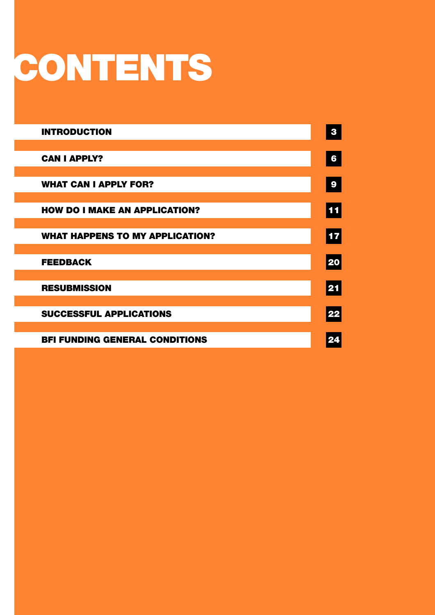# **CONTENTS**

| <b>INTRODUCTION</b>                    | 3          |
|----------------------------------------|------------|
| <b>CAN I APPLY?</b>                    | 6          |
| <b>WHAT CAN I APPLY FOR?</b>           | 9          |
| <b>HOW DO I MAKE AN APPLICATION?</b>   | <b>11</b>  |
| <b>WHAT HAPPENS TO MY APPLICATION?</b> | $\vert$ 17 |
| <b>FEEDBACK</b>                        | 20         |
| <b>RESUBMISSION</b>                    | 21         |
| <b>SUCCESSFUL APPLICATIONS</b>         | 22         |
| <b>BFI FUNDING GENERAL CONDITIONS</b>  | 24         |
|                                        |            |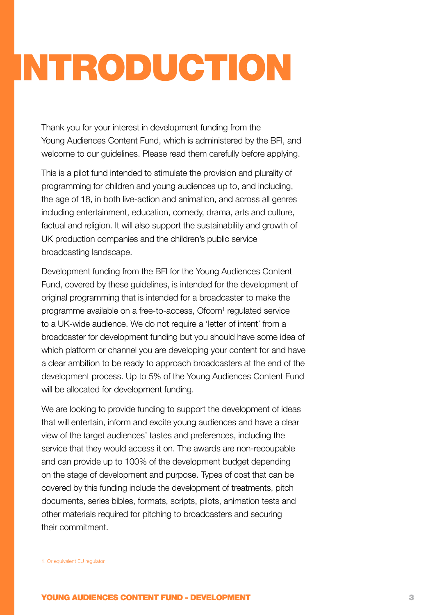# <span id="page-2-1"></span><span id="page-2-0"></span>INTRODUCTION

Thank you for your interest in development funding from the Young Audiences Content Fund, which is administered by the BFI, and welcome to our guidelines. Please read them carefully before applying.

This is a pilot fund intended to stimulate the provision and plurality of programming for children and young audiences up to, and including, the age of 18, in both live-action and animation, and across all genres including entertainment, education, comedy, drama, arts and culture, factual and religion. It will also support the sustainability and growth of UK production companies and the children's public service broadcasting landscape.

Development funding from the BFI for the Young Audiences Content Fund, covered by these guidelines, is intended for the development of original programming that is intended for a broadcaster to make the programme available on a free-to-access, Ofcom<sup>1</sup> regulated service to a UK-wide audience. We do not require a 'letter of intent' from a broadcaster for development funding but you should have some idea of which platform or channel you are developing your content for and have a clear ambition to be ready to approach broadcasters at the end of the development process. Up to 5% of the Young Audiences Content Fund will be allocated for development funding.

We are looking to provide funding to support the development of ideas that will entertain, inform and excite young audiences and have a clear view of the target audiences' tastes and preferences, including the service that they would access it on. The awards are non-recoupable and can provide up to 100% of the development budget depending on the stage of development and purpose. Types of cost that can be covered by this funding include the development of treatments, pitch documents, series bibles, formats, scripts, pilots, animation tests and other materials required for pitching to broadcasters and securing their commitment.

1. Or equivalent EU regulator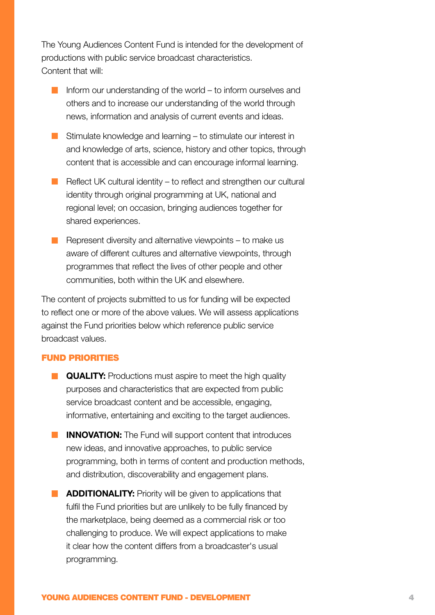The Young Audiences Content Fund is intended for the development of productions with public service broadcast characteristics. Content that will:

- Inform our understanding of the world  $-$  to inform ourselves and others and to increase our understanding of the world through news, information and analysis of current events and ideas.
- $\blacksquare$  Stimulate knowledge and learning to stimulate our interest in and knowledge of arts, science, history and other topics, through content that is accessible and can encourage informal learning.
- Reflect UK cultural identity to reflect and strengthen our cultural identity through original programming at UK, national and regional level; on occasion, bringing audiences together for shared experiences.
- Represent diversity and alternative viewpoints  $-$  to make us aware of different cultures and alternative viewpoints, through programmes that reflect the lives of other people and other communities, both within the UK and elsewhere.

The content of projects submitted to us for funding will be expected to reflect one or more of the above values. We will assess applications against the Fund priorities below which reference public service broadcast values.

#### FUND PRIORITIES

- **QUALITY:** Productions must aspire to meet the high quality purposes and characteristics that are expected from public service broadcast content and be accessible, engaging, informative, entertaining and exciting to the target audiences.
- **INNOVATION:** The Fund will support content that introduces new ideas, and innovative approaches, to public service programming, both in terms of content and production methods, and distribution, discoverability and engagement plans.
- **ADDITIONALITY:** Priority will be given to applications that fulfil the Fund priorities but are unlikely to be fully financed by the marketplace, being deemed as a commercial risk or too challenging to produce. We will expect applications to make it clear how the content differs from a broadcaster's usual programming.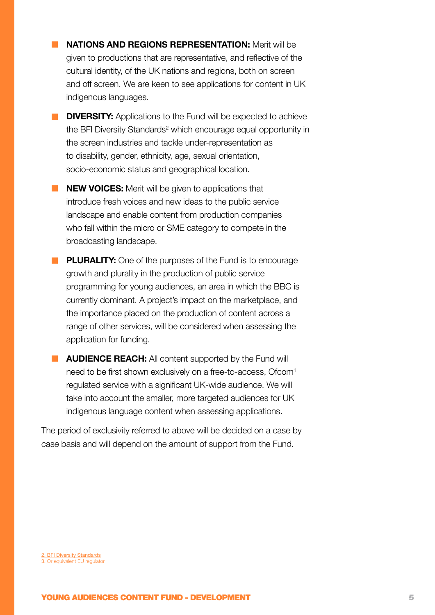- **NATIONS AND REGIONS REPRESENTATION:** Merit will be given to productions that are representative, and reflective of the cultural identity, of the UK nations and regions, both on screen and off screen. We are keen to see applications for content in UK indigenous languages.
- **DIVERSITY:** Applications to the Fund will be expected to achieve the BFI Diversity Standards<sup>2</sup> which encourage equal opportunity in the screen industries and tackle under-representation as to disability, gender, ethnicity, age, sexual orientation, socio-economic status and geographical location.
- **NEW VOICES:** Merit will be given to applications that introduce fresh voices and new ideas to the public service landscape and enable content from production companies who fall within the micro or SME category to compete in the broadcasting landscape.
- **PLURALITY:** One of the purposes of the Fund is to encourage growth and plurality in the production of public service programming for young audiences, an area in which the BBC is currently dominant. A project's impact on the marketplace, and the importance placed on the production of content across a range of other services, will be considered when assessing the application for funding.
- **AUDIENCE REACH:** All content supported by the Fund will need to be first shown exclusively on a free-to-access, Ofcom<sup>1</sup> regulated service with a significant UK-wide audience. We will take into account the smaller, more targeted audiences for UK indigenous language content when assessing applications.

The period of exclusivity referred to above will be decided on a case by case basis and will depend on the amount of support from the Fund.

2. [BFI Diversity Standards](https://www.bfi.org.uk/about-bfi/policy-strategy/diversity/diversity-standards) 3. Or equivalent EU regulator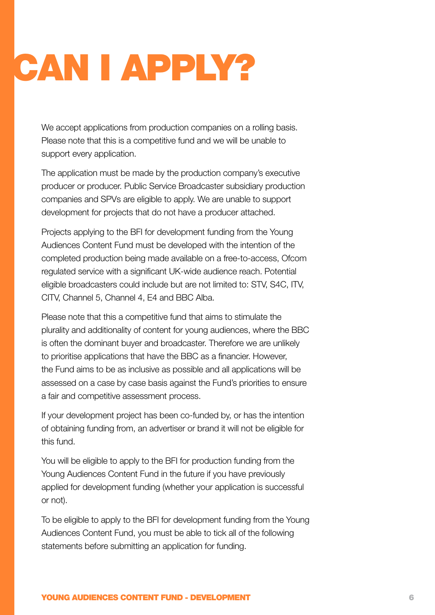# <span id="page-5-1"></span><span id="page-5-0"></span>CAN I APPLY?

We accept applications from production companies on a rolling basis. Please note that this is a competitive fund and we will be unable to support every application.

The application must be made by the production company's executive producer or producer. Public Service Broadcaster subsidiary production companies and SPVs are eligible to apply. We are unable to support development for projects that do not have a producer attached.

Projects applying to the BFI for development funding from the Young Audiences Content Fund must be developed with the intention of the completed production being made available on a free-to-access, Ofcom regulated service with a significant UK-wide audience reach. Potential eligible broadcasters could include but are not limited to: STV, S4C, ITV, CITV, Channel 5, Channel 4, E4 and BBC Alba.

Please note that this a competitive fund that aims to stimulate the plurality and additionality of content for young audiences, where the BBC is often the dominant buyer and broadcaster. Therefore we are unlikely to prioritise applications that have the BBC as a financier. However, the Fund aims to be as inclusive as possible and all applications will be assessed on a case by case basis against the Fund's priorities to ensure a fair and competitive assessment process.

If your development project has been co-funded by, or has the intention of obtaining funding from, an advertiser or brand it will not be eligible for this fund.

You will be eligible to apply to the BFI for production funding from the Young Audiences Content Fund in the future if you have previously applied for development funding (whether your application is successful or not).

To be eligible to apply to the BFI for development funding from the Young Audiences Content Fund, you must be able to tick all of the following statements before submitting an application for funding.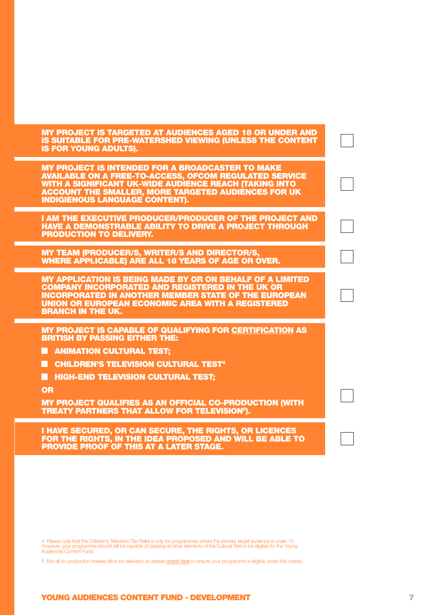MY PROJECT IS TARGETED AT AUDIENCES AGED 18 OR UNDER AND IS SUITABLE FOR PRE-WATERSHED VIEWING (UNLESS THE CONTENT IS FOR YOUNG ADULTS).

MY PROJECT IS INTENDED FOR A BROADCASTER TO MAKE AVAILABLE ON A FREE-TO-ACCESS, OFCOM REGULATED SERVICE WITH A SIGNIFICANT UK-WIDE AUDIENCE REACH (TAKING INTO ACCOUNT THE SMALLER, MORE TARGETED AUDIENCES FOR UK INDIGIENOUS LANGUAGE CONTENT).

I AM THE EXECUTIVE PRODUCER/PRODUCER OF THE PROJECT AND HAVE A DEMONSTRABLE ABILITY TO DRIVE A PROJECT THROUGH PRODUCTION TO DELIVERY.

MY TEAM (PRODUCER/S, WRITER/S AND DIRECTOR/S, WHERE APPLICABLE) ARE ALL 18 YEARS OF AGE OR OVER.

MY APPLICATION IS BEING MADE BY OR ON BEHALF OF A LIMITED COMPANY INCORPORATED AND REGISTERED IN THE UK OR INCORPORATED IN ANOTHER MEMBER STATE OF THE EUROPEAN UNION OR EUROPEAN ECONOMIC AREA WITH A REGISTERED BRANCH IN THE UK.

MY PROJECT IS CAPABLE OF QUALIFYING FOR [CERTIFICATION](http://www.bfi.org.uk/film-industry/british-certification-tax-relief/about-tax-relief#television-animation) AS BRITISH BY PASSING EITHER THE:

- **ANIMATION CULTURAL TEST:**
- **E** CHILDREN'S TELEVISION CULTURAL TEST<sup>4</sup>
- **HIGH-END TELEVISION CULTURAL TEST;**

OR

MY PROJECT QUALIFIES AS AN OFFICIAL CO-PRODUCTION (WITH TREATY PARTNERS THAT ALLOW FOR TELEVISION5).

I HAVE SECURED, OR CAN SECURE, THE RIGHTS, OR LICENCES FOR THE RIGHTS, IN THE IDEA PROPOSED AND WILL BE ABLE TO PROVIDE PROOF OF THIS AT A LATER STAGE.

4. Please note that the Children's Television Tax Relief is only for programmes where the primary target audience is under 15. However, your programme should still be capable of passing all other elements of the Cultural Test to be eligible for the Young Audiences Content Fund.

5. Not all co-production treaties allow for television so please [check here](http://www.bfi.org.uk/film-industry/british-certification-tax-relief/about-tax-relief) to ensure your programme is eligible under this criteria.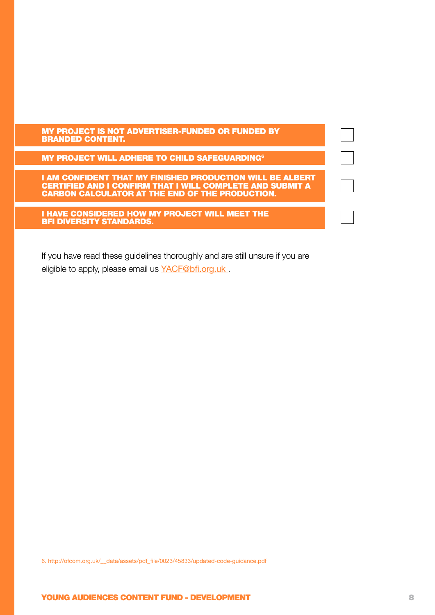#### MY PROJECT IS NOT ADVERTISER-FUNDED OR FUNDED BY BRANDED CONTENT.

**MY PROJECT WILL ADHERE TO CHILD SAFEGUARDING<sup>6</sup>** 

I AM CONFIDENT THAT MY FINISHED PRODUCTION WILL BE ALBERT CERTIFIED AND I CONFIRM THAT I WILL COMPLETE AND SUBMIT A CARBON CALCULATOR AT THE END OF THE PRODUCTION.

I HAVE CONSIDERED HOW MY PROJECT WILL MEET THE BFI DIVERSITY STANDARDS.

If you have read these guidelines thoroughly and are still unsure if you are eligible to apply, please email us YACF@bfi.org.uk

6. http://ofcom.org.uk/\_\_data/assets/pdf\_file/0023/45833/updated-code-guidance.pdf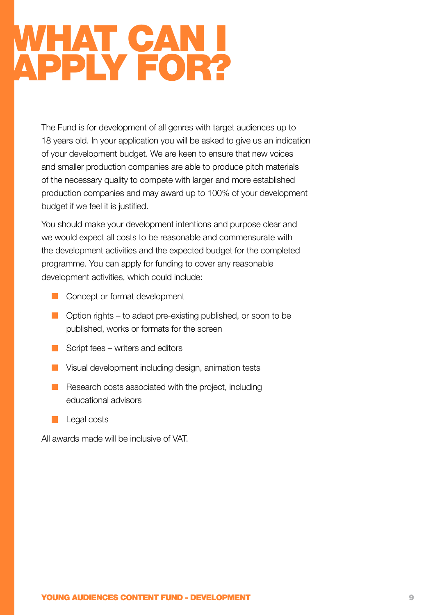### <span id="page-8-1"></span><span id="page-8-0"></span>WHAT CAN I APPLY FOR?

The Fund is for development of all genres with target audiences up to 18 years old. In your application you will be asked to give us an indication of your development budget. We are keen to ensure that new voices and smaller production companies are able to produce pitch materials of the necessary quality to compete with larger and more established production companies and may award up to 100% of your development budget if we feel it is justified.

You should make your development intentions and purpose clear and we would expect all costs to be reasonable and commensurate with the development activities and the expected budget for the completed programme. You can apply for funding to cover any reasonable development activities, which could include:

- **Concept or format development**
- **Option rights to adapt pre-existing published, or soon to be** published, works or formats for the screen
- $\blacksquare$  Script fees writers and editors
- **No** Visual development including design, animation tests
- $R$  Research costs associated with the project, including educational advisors
- $\Box$  Legal costs

All awards made will be inclusive of VAT.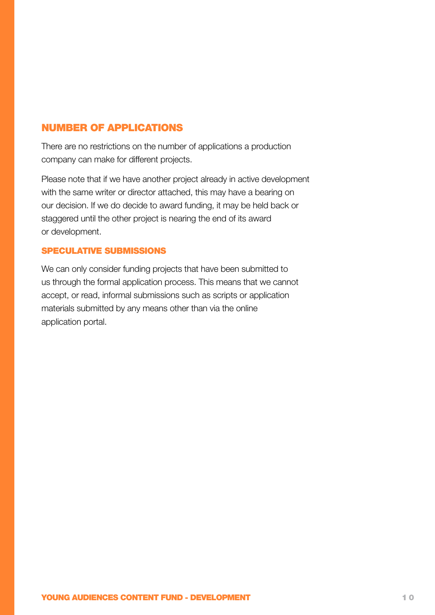#### NUMBER OF APPLICATIONS

There are no restrictions on the number of applications a production company can make for different projects.

Please note that if we have another project already in active development with the same writer or director attached, this may have a bearing on our decision. If we do decide to award funding, it may be held back or staggered until the other project is nearing the end of its award or development.

#### SPECULATIVE SUBMISSIONS

We can only consider funding projects that have been submitted to us through the formal application process. This means that we cannot accept, or read, informal submissions such as scripts or application materials submitted by any means other than via the online application portal.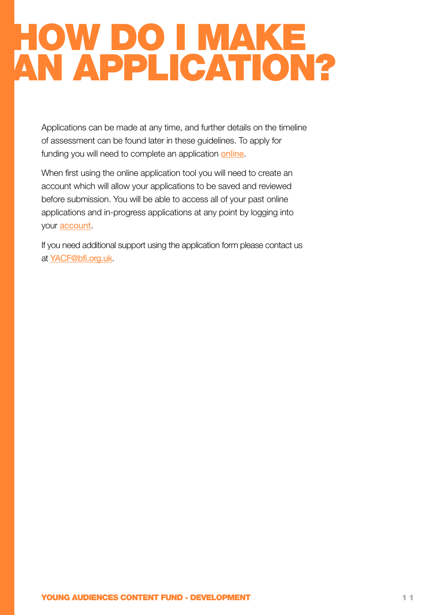## <span id="page-10-1"></span><span id="page-10-0"></span>HOW DO I MAKE AN APPLICATION?

Applications can be made at any time, and further details on the timeline of assessment can be found later in these guidelines. To apply for funding you will need to complete an application [online](http://www.GrantRequest.co.uk/SID_106?SA=SNA&FID=35236).

When first using the online application tool you will need to create an account which will allow your applications to be saved and reviewed before submission. You will be able to access all of your past online applications and in-progress applications at any point by logging into your [account](http://www.grantrequest.co.uk/SID_106?SA=AM ).

If you need additional support using the application form please contact us at [YACF@bfi.org.uk](mailto:YACF%40bfi.org.uk?subject=).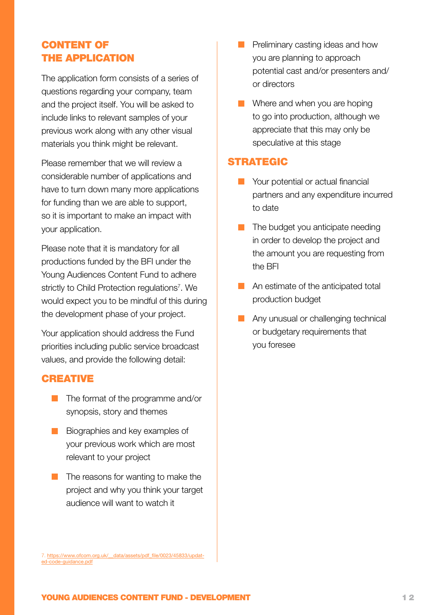#### CONTENT OF THE APPLICATION

The application form consists of a series of questions regarding your company, team and the project itself. You will be asked to include links to relevant samples of your previous work along with any other visual materials you think might be relevant.

Please remember that we will review a considerable number of applications and have to turn down many more applications for funding than we are able to support, so it is important to make an impact with your application.

Please note that it is mandatory for all productions funded by the BFI under the Young Audiences Content Fund to adhere strictly to Child Protection regulations<sup>7</sup>. We would expect you to be mindful of this during the development phase of your project.

Your application should address the Fund priorities including public service broadcast values, and provide the following detail:

#### **CREATIVE**

- $\blacksquare$  The format of the programme and/or synopsis, story and themes
- Biographies and key examples of your previous work which are most relevant to your project
- $\blacksquare$  The reasons for wanting to make the project and why you think your target audience will want to watch it
- 7. https://www.ofcom.org.uk/\_data/assets/pdf\_file/0023/45833/updat[ed-code-guidance.pdf](https://www.ofcom.org.uk/__data/assets/pdf_file/0023/45833/updated-code-guidance.pdf)
- **Preliminary casting ideas and how** you are planning to approach potential cast and/or presenters and/ or directors
- **Now Where and when you are hoping** to go into production, although we appreciate that this may only be speculative at this stage

#### STRATEGIC

- **Nour potential or actual financial** partners and any expenditure incurred to date
- $\blacksquare$  The budget you anticipate needing in order to develop the project and the amount you are requesting from the BFI
- An estimate of the anticipated total production budget
- **Any unusual or challenging technical** or budgetary requirements that you foresee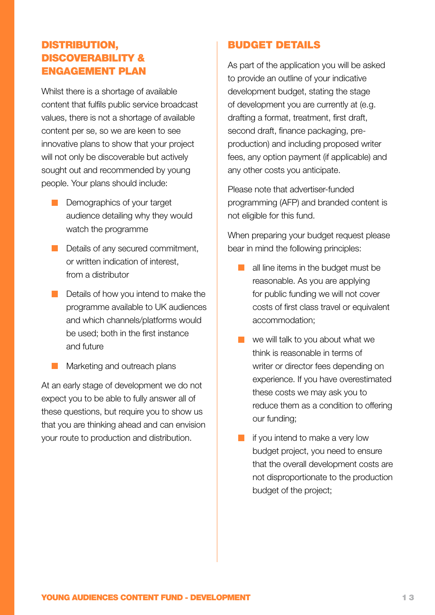#### DISTRIBUTION, DISCOVERABILITY & ENGAGEMENT PLAN

Whilst there is a shortage of available content that fulfils public service broadcast values, there is not a shortage of available content per se, so we are keen to see innovative plans to show that your project will not only be discoverable but actively sought out and recommended by young people. Your plans should include:

- Demographics of your target audience detailing why they would watch the programme
- Details of any secured commitment, or written indication of interest, from a distributor
- Details of how you intend to make the programme available to UK audiences and which channels/platforms would be used; both in the first instance and future
- **Marketing and outreach plans**

At an early stage of development we do not expect you to be able to fully answer all of these questions, but require you to show us that you are thinking ahead and can envision your route to production and distribution.

#### BUDGET DETAILS

As part of the application you will be asked to provide an outline of your indicative development budget, stating the stage of development you are currently at (e.g. drafting a format, treatment, first draft, second draft, finance packaging, preproduction) and including proposed writer fees, any option payment (if applicable) and any other costs you anticipate.

Please note that advertiser-funded programming (AFP) and branded content is not eligible for this fund.

When preparing your budget request please bear in mind the following principles:

- $\blacksquare$  all line items in the budget must be reasonable. As you are applying for public funding we will not cover costs of first class travel or equivalent accommodation;
- $\blacksquare$  we will talk to you about what we think is reasonable in terms of writer or director fees depending on experience. If you have overestimated these costs we may ask you to reduce them as a condition to offering our funding;
- $\blacksquare$  if you intend to make a very low budget project, you need to ensure that the overall development costs are not disproportionate to the production budget of the project;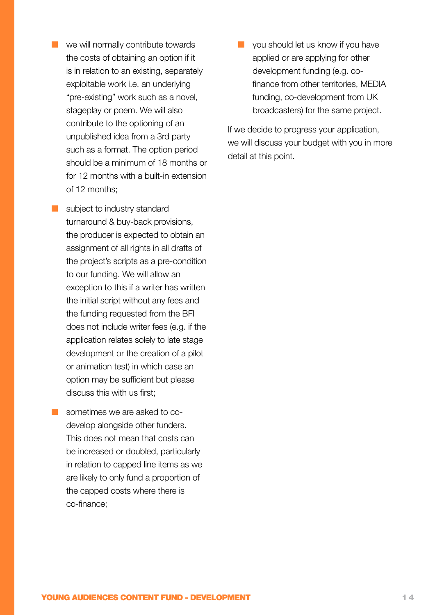- **Now we will normally contribute towards** the costs of obtaining an option if it is in relation to an existing, separately exploitable work i.e. an underlying "pre-existing" work such as a novel, stageplay or poem. We will also contribute to the optioning of an unpublished idea from a 3rd party such as a format. The option period should be a minimum of 18 months or for 12 months with a built-in extension of 12 months;
- subject to industry standard turnaround & buy-back provisions, the producer is expected to obtain an assignment of all rights in all drafts of the project's scripts as a pre-condition to our funding. We will allow an exception to this if a writer has written the initial script without any fees and the funding requested from the BFI does not include writer fees (e.g. if the application relates solely to late stage development or the creation of a pilot or animation test) in which case an option may be sufficient but please discuss this with us first;
- sometimes we are asked to codevelop alongside other funders. This does not mean that costs can be increased or doubled, particularly in relation to capped line items as we are likely to only fund a proportion of the capped costs where there is co-finance;

 $\blacksquare$  you should let us know if you have applied or are applying for other development funding (e.g. cofinance from other territories, MEDIA funding, co-development from UK broadcasters) for the same project.

If we decide to progress your application, we will discuss your budget with you in more detail at this point.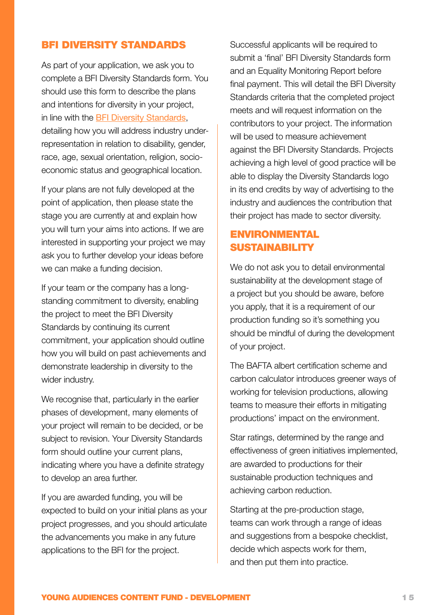#### BFI DIVERSITY STANDARDS

As part of your application, we ask you to complete a BFI Diversity Standards form. You should use this form to describe the plans and intentions for diversity in your project, in line with the [BFI Diversity Standards](http://www.bfi.org.uk/supporting-uk-film/diversity-inclusion/bfi-diversity-standards), detailing how you will address industry underrepresentation in relation to disability, gender, race, age, sexual orientation, religion, socioeconomic status and geographical location.

If your plans are not fully developed at the point of application, then please state the stage you are currently at and explain how you will turn your aims into actions. If we are interested in supporting your project we may ask you to further develop your ideas before we can make a funding decision.

If your team or the company has a longstanding commitment to diversity, enabling the project to meet the BFI Diversity Standards by continuing its current commitment, your application should outline how you will build on past achievements and demonstrate leadership in diversity to the wider industry.

We recognise that, particularly in the earlier phases of development, many elements of your project will remain to be decided, or be subject to revision. Your Diversity Standards form should outline your current plans, indicating where you have a definite strategy to develop an area further.

If you are awarded funding, you will be expected to build on your initial plans as your project progresses, and you should articulate the advancements you make in any future applications to the BFI for the project.

Successful applicants will be required to submit a 'final' BFI Diversity Standards form and an Equality Monitoring Report before final payment. This will detail the BFI Diversity Standards criteria that the completed project meets and will request information on the contributors to your project. The information will be used to measure achievement against the BFI Diversity Standards. Projects achieving a high level of good practice will be able to display the Diversity Standards logo in its end credits by way of advertising to the industry and audiences the contribution that their project has made to sector diversity.

#### ENVIRONMENTAL SUSTAINABILITY

We do not ask you to detail environmental sustainability at the development stage of a project but you should be aware, before you apply, that it is a requirement of our production funding so it's something you should be mindful of during the development of your project.

The BAFTA albert certification scheme and carbon calculator introduces greener ways of working for television productions, allowing teams to measure their efforts in mitigating productions' impact on the environment.

Star ratings, determined by the range and effectiveness of green initiatives implemented, are awarded to productions for their sustainable production techniques and achieving carbon reduction.

Starting at the pre-production stage, teams can work through a range of ideas and suggestions from a bespoke checklist, decide which aspects work for them, and then put them into practice.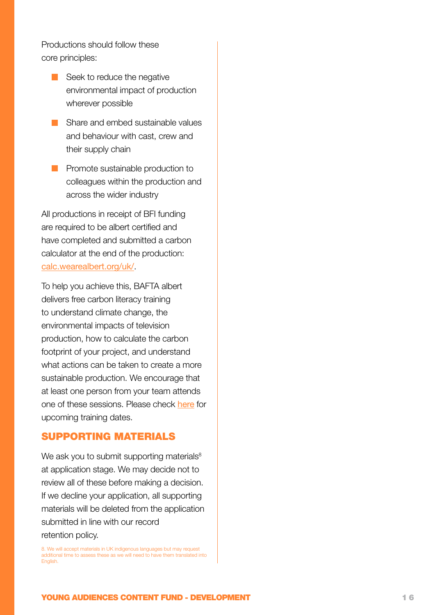Productions should follow these core principles:

- Seek to reduce the negative environmental impact of production wherever possible
- Share and embed sustainable values and behaviour with cast, crew and their supply chain
- **Promote sustainable production to** colleagues within the production and across the wider industry

All productions in receipt of BFI funding are required to be albert certified and have completed and submitted a carbon calculator at the end of the production: [calc.wearealbert.org/uk/](https://calc.wearealbert.org/uk/).

To help you achieve this, BAFTA albert delivers free carbon literacy training to understand climate change, the environmental impacts of television production, how to calculate the carbon footprint of your project, and understand what actions can be taken to create a more sustainable production. We encourage that at least one person from your team attends one of these sessions. Please check [here](http://wearealbert.org/help/get-trained) for upcoming training dates.

#### SUPPORTING MATERIALS

We ask you to submit supporting materials<sup>8</sup> at application stage. We may decide not to review all of these before making a decision. If we decline your application, all supporting materials will be deleted from the application submitted in line with our record retention policy.

8. We will accept materials in UK indigenous languages but may request additional time to assess these as we will need to have them translated into **English**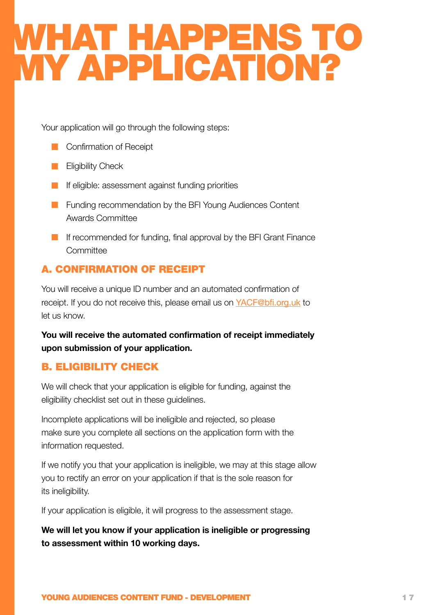### <span id="page-16-1"></span><span id="page-16-0"></span>WHAT HAPPENS TO MY APPLICATION?

Your application will go through the following steps:

- **Confirmation of Receipt**
- **Eligibility Check**
- **If eligible: assessment against funding priorities**
- **Funding recommendation by the BFI Young Audiences Content** Awards Committee
- **If recommended for funding, final approval by the BFI Grant Finance Committee**

#### A. CONFIRMATION OF RECEIPT

You will receive a unique ID number and an automated confirmation of receipt. If you do not receive this, please email us on [YACF@bfi.org.uk](mailto:YACF%40bfi.org.uk?subject=) to let us know.

**You will receive the automated confirmation of receipt immediately upon submission of your application.**

#### B. ELIGIBILITY CHECK

We will check that your application is eligible for funding, against the eligibility checklist set out in these guidelines.

Incomplete applications will be ineligible and rejected, so please make sure you complete all sections on the application form with the information requested.

If we notify you that your application is ineligible, we may at this stage allow you to rectify an error on your application if that is the sole reason for its ineligibility.

If your application is eligible, it will progress to the assessment stage.

**We will let you know if your application is ineligible or progressing to assessment within 10 working days.**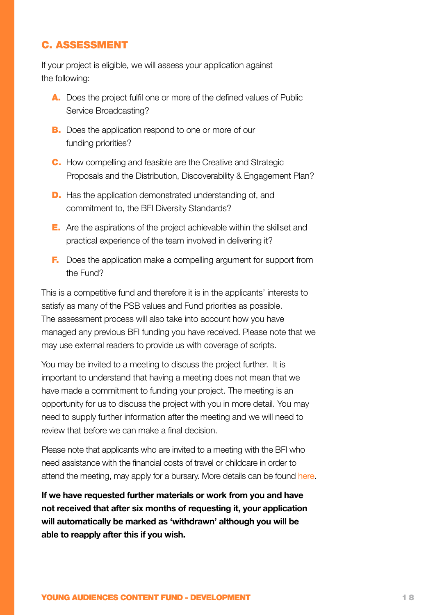#### C. ASSESSMENT

If your project is eligible, we will assess your application against the following:

- A. Does the project fulfil one or more of the defined values of Public Service Broadcasting?
- **B.** Does the application respond to one or more of our funding priorities?
- C. How compelling and feasible are the Creative and Strategic Proposals and the Distribution, Discoverability & Engagement Plan?
- D. Has the application demonstrated understanding of, and commitment to, the BFI Diversity Standards?
- E. Are the aspirations of the project achievable within the skillset and practical experience of the team involved in delivering it?
- **F.** Does the application make a compelling argument for support from the Fund?

This is a competitive fund and therefore it is in the applicants' interests to satisfy as many of the PSB values and Fund priorities as possible. The assessment process will also take into account how you have managed any previous BFI funding you have received. Please note that we may use external readers to provide us with coverage of scripts.

You may be invited to a meeting to discuss the project further. It is important to understand that having a meeting does not mean that we have made a commitment to funding your project. The meeting is an opportunity for us to discuss the project with you in more detail. You may need to supply further information after the meeting and we will need to review that before we can make a final decision.

Please note that applicants who are invited to a meeting with the BFI who need assistance with the financial costs of travel or childcare in order to attend the meeting, may apply for a bursary. More details can be found [here](http://www.bfi.org.uk/sites/bfi.org.uk/files/downloads/Travel-Bursary-guidance-for-applicants-2017.docx).

**If we have requested further materials or work from you and have not received that after six months of requesting it, your application will automatically be marked as 'withdrawn' although you will be able to reapply after this if you wish.**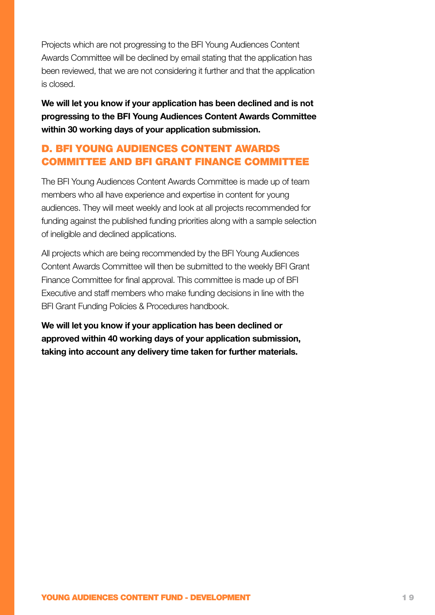Projects which are not progressing to the BFI Young Audiences Content Awards Committee will be declined by email stating that the application has been reviewed, that we are not considering it further and that the application is closed.

**We will let you know if your application has been declined and is not progressing to the BFI Young Audiences Content Awards Committee within 30 working days of your application submission.**

#### D. BFI YOUNG AUDIENCES CONTENT AWARDS COMMITTEE AND BFI GRANT FINANCE COMMITTEE

The BFI Young Audiences Content Awards Committee is made up of team members who all have experience and expertise in content for young audiences. They will meet weekly and look at all projects recommended for funding against the published funding priorities along with a sample selection of ineligible and declined applications.

All projects which are being recommended by the BFI Young Audiences Content Awards Committee will then be submitted to the weekly BFI Grant Finance Committee for final approval. This committee is made up of BFI Executive and staff members who make funding decisions in line with the BFI Grant Funding Policies & Procedures handbook.

**We will let you know if your application has been declined or approved within 40 working days of your application submission, taking into account any delivery time taken for further materials.**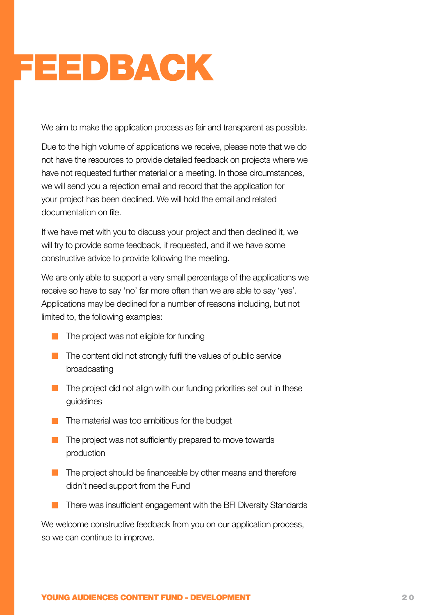# <span id="page-19-1"></span><span id="page-19-0"></span>FEEDBACK

We aim to make the application process as fair and transparent as possible.

Due to the high volume of applications we receive, please note that we do not have the resources to provide detailed feedback on projects where we have not requested further material or a meeting. In those circumstances, we will send you a rejection email and record that the application for your project has been declined. We will hold the email and related documentation on file.

If we have met with you to discuss your project and then declined it, we will try to provide some feedback, if requested, and if we have some constructive advice to provide following the meeting.

We are only able to support a very small percentage of the applications we receive so have to say 'no' far more often than we are able to say 'yes'. Applications may be declined for a number of reasons including, but not limited to, the following examples:

- $\blacksquare$  The project was not eligible for funding
- $\blacksquare$  The content did not strongly fulfil the values of public service broadcasting
- **The project did not align with our funding priorities set out in these** guidelines
- $\blacksquare$  The material was too ambitious for the budget
- $\blacksquare$  The project was not sufficiently prepared to move towards production
- **The project should be financeable by other means and therefore** didn't need support from the Fund
- There was insufficient engagement with the BFI Diversity Standards

We welcome constructive feedback from you on our application process, so we can continue to improve.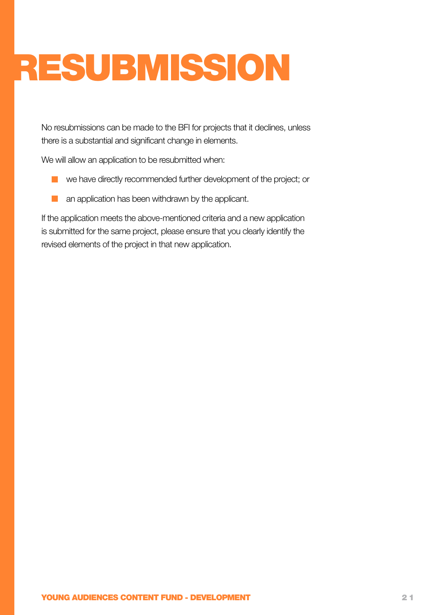# <span id="page-20-1"></span><span id="page-20-0"></span>RESUBMISSION

No resubmissions can be made to the BFI for projects that it declines, unless there is a substantial and significant change in elements.

We will allow an application to be resubmitted when:

- we have directly recommended further development of the project; or
- an application has been withdrawn by the applicant.  $\mathcal{L}_{\mathcal{A}}$

If the application meets the above-mentioned criteria and a new application is submitted for the same project, please ensure that you clearly identify the revised elements of the project in that new application.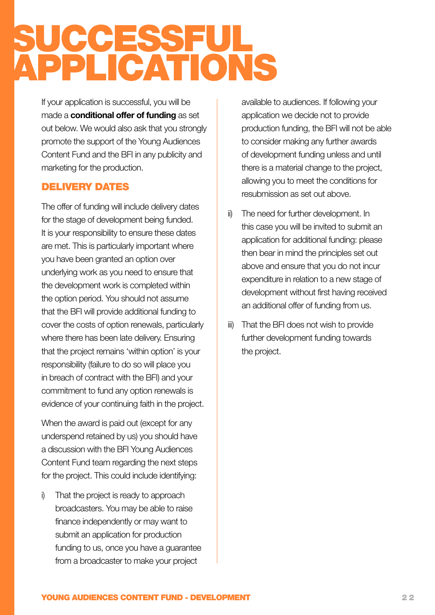### <span id="page-21-1"></span><span id="page-21-0"></span>SUCCESSFUL APPLICATIONS

If your application is successful, you will be made a **conditional offer of funding** as set out below. We would also ask that you strongly promote the support of the Young Audiences Content Fund and the BFI in any publicity and marketing for the production.

#### DELIVERY DATES

The offer of funding will include delivery dates for the stage of development being funded. It is your responsibility to ensure these dates are met. This is particularly important where you have been granted an option over underlying work as you need to ensure that the development work is completed within the option period. You should not assume that the BFI will provide additional funding to cover the costs of option renewals, particularly where there has been late delivery. Ensuring that the project remains 'within option' is your responsibility (failure to do so will place you in breach of contract with the BFI) and your commitment to fund any option renewals is evidence of your continuing faith in the project.

When the award is paid out (except for any underspend retained by us) you should have a discussion with the BFI Young Audiences Content Fund team regarding the next steps for the project. This could include identifying:

i) That the project is ready to approach broadcasters. You may be able to raise finance independently or may want to submit an application for production funding to us, once you have a guarantee from a broadcaster to make your project

available to audiences. If following your application we decide not to provide production funding, the BFI will not be able to consider making any further awards of development funding unless and until there is a material change to the project, allowing you to meet the conditions for resubmission as set out above.

- ii) The need for further development. In this case you will be invited to submit an application for additional funding: please then bear in mind the principles set out above and ensure that you do not incur expenditure in relation to a new stage of development without first having received an additional offer of funding from us.
- iii) That the BFI does not wish to provide further development funding towards the project.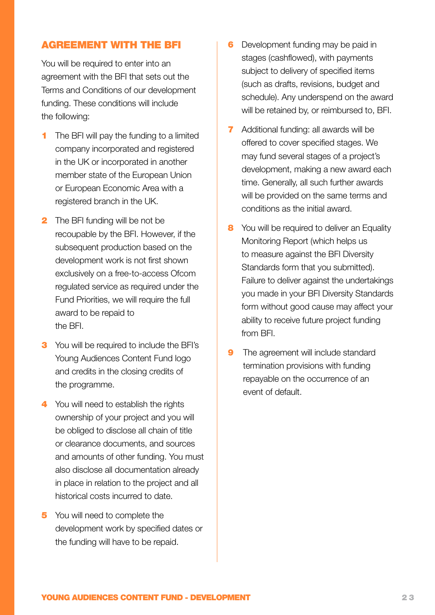#### AGREEMENT WITH THE BFI

You will be required to enter into an agreement with the BFI that sets out the Terms and Conditions of our development funding. These conditions will include the following:

- **1** The BFI will pay the funding to a limited company incorporated and registered in the UK or incorporated in another member state of the European Union or European Economic Area with a registered branch in the UK.
- **2** The BFI funding will be not be recoupable by the BFI. However, if the subsequent production based on the development work is not first shown exclusively on a free-to-access Ofcom regulated service as required under the Fund Priorities, we will require the full award to be repaid to the BFI.
- **3** You will be required to include the BFI's Young Audiences Content Fund logo and credits in the closing credits of the programme.
- 4 You will need to establish the rights ownership of your project and you will be obliged to disclose all chain of title or clearance documents, and sources and amounts of other funding. You must also disclose all documentation already in place in relation to the project and all historical costs incurred to date.
- 5 You will need to complete the development work by specified dates or the funding will have to be repaid.
- **6** Development funding may be paid in stages (cashflowed), with payments subject to delivery of specified items (such as drafts, revisions, budget and schedule). Any underspend on the award will be retained by, or reimbursed to, BFI.
- **7** Additional funding: all awards will be offered to cover specified stages. We may fund several stages of a project's development, making a new award each time. Generally, all such further awards will be provided on the same terms and conditions as the initial award.
- 8 You will be required to deliver an Equality Monitoring Report (which helps us to measure against the BFI Diversity Standards form that you submitted). Failure to deliver against the undertakings you made in your BFI Diversity Standards form without good cause may affect your ability to receive future project funding from BFI.
- **9** The agreement will include standard termination provisions with funding repayable on the occurrence of an event of default.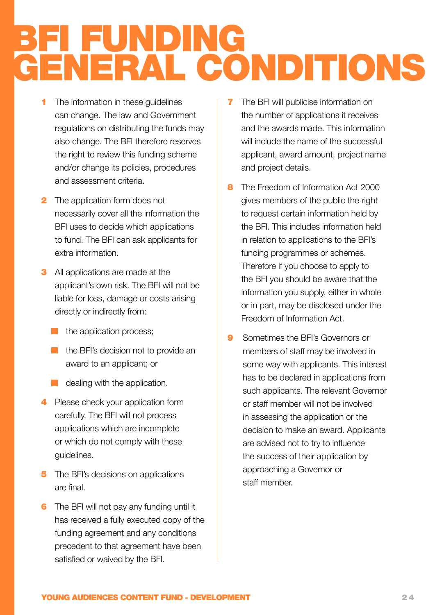### <span id="page-23-1"></span><span id="page-23-0"></span>BFI FUNDING GENERAL CONDITIONS

- **1** The information in these guidelines can change. The law and Government regulations on distributing the funds may also change. The BFI therefore reserves the right to review this funding scheme and/or change its policies, procedures and assessment criteria.
- **2** The application form does not necessarily cover all the information the BFI uses to decide which applications to fund. The BFI can ask applicants for extra information.
- **3** All applications are made at the applicant's own risk. The BFI will not be liable for loss, damage or costs arising directly or indirectly from:
	- $\blacksquare$  the application process;
	- $\blacksquare$  the BFI's decision not to provide an award to an applicant; or
	- $\Box$  dealing with the application.
- 4 Please check your application form carefully. The BFI will not process applications which are incomplete or which do not comply with these guidelines.
- **5** The BFI's decisions on applications are final.
- **6** The BFI will not pay any funding until it has received a fully executed copy of the funding agreement and any conditions precedent to that agreement have been satisfied or waived by the BFI.
- **7** The BFI will publicise information on the number of applications it receives and the awards made. This information will include the name of the successful applicant, award amount, project name and project details.
- 8 The Freedom of Information Act 2000 gives members of the public the right to request certain information held by the BFI. This includes information held in relation to applications to the BFI's funding programmes or schemes. Therefore if you choose to apply to the BFI you should be aware that the information you supply, either in whole or in part, may be disclosed under the Freedom of Information Act.
- **9** Sometimes the BFI's Governors or members of staff may be involved in some way with applicants. This interest has to be declared in applications from such applicants. The relevant Governor or staff member will not be involved in assessing the application or the decision to make an award. Applicants are advised not to try to influence the success of their application by approaching a Governor or staff member.